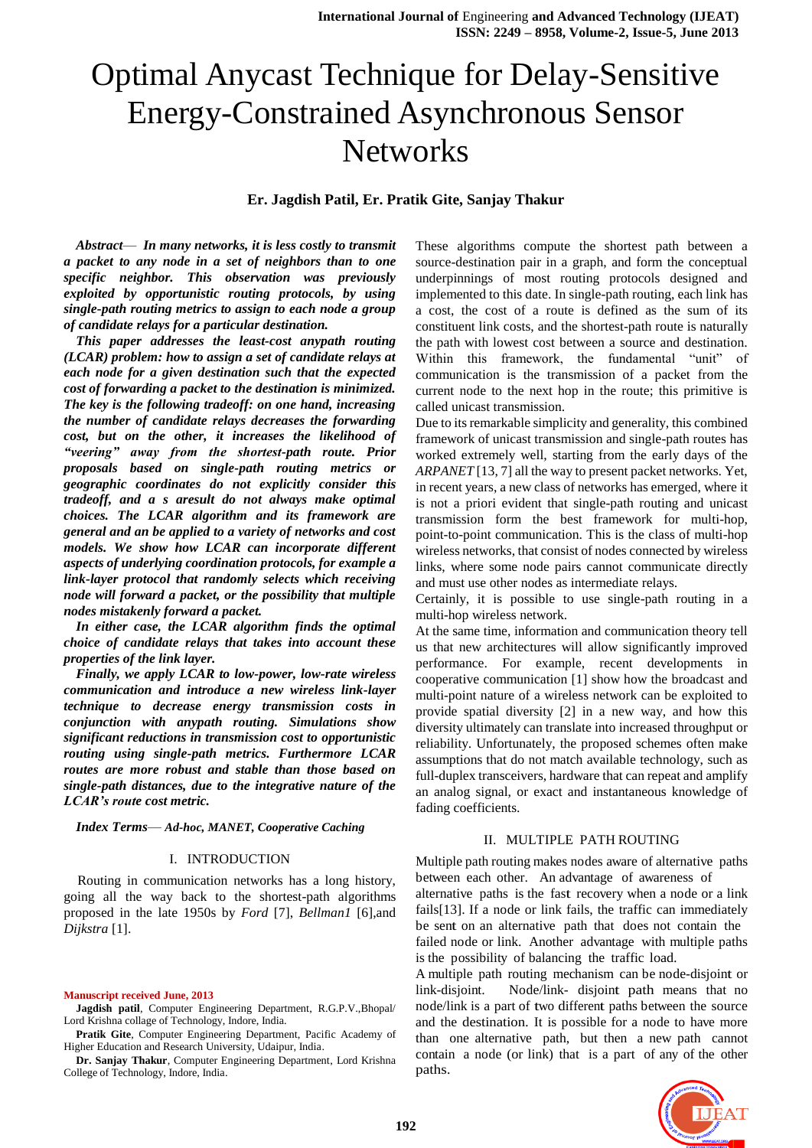# Optimal Anycast Technique for Delay-Sensitive Energy-Constrained Asynchronous Sensor **Networks**

## **Er. Jagdish Patil, Er. Pratik Gite, Sanjay Thakur**

*Abstract*— *In many networks, it is less costly to transmit a packet to any node in a set of neighbors than to one specific neighbor. This observation was previously exploited by opportunistic routing protocols, by using single-path routing metrics to assign to each node a group of candidate relays for a particular destination.*

*This paper addresses the least-cost anypath routing (LCAR) problem: how to assign a set of candidate relays at each node for a given destination such that the expected cost of forwarding a packet to the destination is minimized. The key is the following tradeoff: on one hand, increasing the number of candidate relays decreases the forwarding cost, but on the other, it increases the likelihood of "veering" away from the shortest-path route. Prior proposals based on single-path routing metrics or geographic coordinates do not explicitly consider this tradeoff, and a s aresult do not always make optimal choices. The LCAR algorithm and its framework are general and an be applied to a variety of networks and cost models. We show how LCAR can incorporate different aspects of underlying coordination protocols, for example a link-layer protocol that randomly selects which receiving node will forward a packet, or the possibility that multiple nodes mistakenly forward a packet.* 

*In either case, the LCAR algorithm finds the optimal choice of candidate relays that takes into account these properties of the link layer.*

*Finally, we apply LCAR to low-power, low-rate wireless communication and introduce a new wireless link-layer technique to decrease energy transmission costs in conjunction with anypath routing. Simulations show significant reductions in transmission cost to opportunistic routing using single-path metrics. Furthermore LCAR routes are more robust and stable than those based on single-path distances, due to the integrative nature of the LCAR's route cost metric.*

*Index Terms*— *Ad-hoc, MANET, Cooperative Caching*

#### I. INTRODUCTION

Routing in communication networks has a long history, going all the way back to the shortest-path algorithms proposed in the late 1950s by *Ford* [7], *Bellman1* [6],and *Dijkstra* [1].

#### **Manuscript received June, 2013**

**Jagdish patil**, Computer Engineering Department, R.G.P.V.,Bhopal/ Lord Krishna collage of Technology, Indore, India.

**Pratik Gite**, Computer Engineering Department, Pacific Academy of Higher Education and Research University, Udaipur, India.

**Dr. Sanjay Thakur**, Computer Engineering Department, Lord Krishna College of Technology, Indore, India.

These algorithms compute the shortest path between a source-destination pair in a graph, and form the conceptual underpinnings of most routing protocols designed and implemented to this date. In single-path routing, each link has a cost, the cost of a route is defined as the sum of its constituent link costs, and the shortest-path route is naturally the path with lowest cost between a source and destination. Within this framework, the fundamental "unit" of communication is the transmission of a packet from the current node to the next hop in the route; this primitive is called unicast transmission.

Due to its remarkable simplicity and generality, this combined framework of unicast transmission and single-path routes has worked extremely well, starting from the early days of the *ARPANET* [13, 7] all the way to present packet networks. Yet, in recent years, a new class of networks has emerged, where it is not a priori evident that single-path routing and unicast transmission form the best framework for multi-hop, point-to-point communication. This is the class of multi-hop wireless networks, that consist of nodes connected by wireless links, where some node pairs cannot communicate directly and must use other nodes as intermediate relays.

Certainly, it is possible to use single-path routing in a multi-hop wireless network.

At the same time, information and communication theory tell us that new architectures will allow significantly improved performance. For example, recent developments in cooperative communication [1] show how the broadcast and multi-point nature of a wireless network can be exploited to provide spatial diversity [2] in a new way, and how this diversity ultimately can translate into increased throughput or reliability. Unfortunately, the proposed schemes often make assumptions that do not match available technology, such as full-duplex transceivers, hardware that can repeat and amplify an analog signal, or exact and instantaneous knowledge of fading coefficients.

#### II. MULTIPLE PATH ROUTING

Multiple path routing makes nodes aware of alternative paths between each other. An advantage of awareness of

alternative paths is the fast recovery when a node or a link fails[13]. If a node or link fails, the traffic can immediately be sent on an alternative path that does not contain the failed node or link. Another advantage with multiple paths is the possibility of balancing the traffic load.

A multiple path routing mechanism can be node-disjoint or link-disjoint. Node/link- disjoint path means that no node/link is a part of two different paths between the source and the destination. It is possible for a node to have more than one alternative path, but then a new path cannot contain a node (or link) that is a part of any of the other paths.

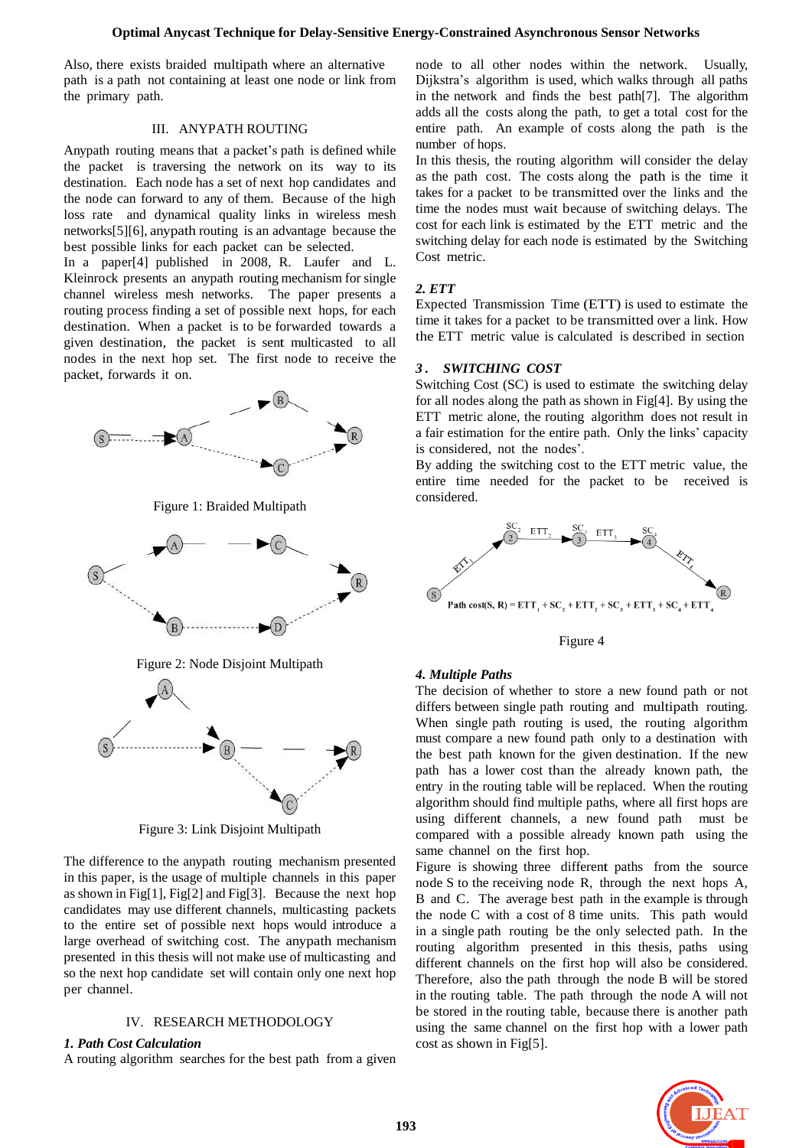Also, there exists braided multipath where an alternative path is a path not containing at least one node or link from the primary path.

## III. ANYPATH ROUTING

Anypath routing means that a packet's path is defined while the packet is traversing the network on its way to its destination. Each node has a set of next hop candidates and the node can forward to any of them. Because of the high loss rate and dynamical quality links in wireless mesh networks[5][6], anypath routing is an advantage because the best possible links for each packet can be selected.

In a paper[4] published in 2008, R. Laufer and L. Kleinrock presents an anypath routing mechanism for single channel wireless mesh networks. The paper presents a routing process finding a set of possible next hops, for each destination. When a packet is to be forwarded towards a given destination, the packet is sent multicasted to all nodes in the next hop set. The first node to receive the packet, forwards it on.



Figure 3: Link Disjoint Multipath

The difference to the anypath routing mechanism presented in this paper, is the usage of multiple channels in this paper as shown in Fig[1], Fig[2] and Fig[3]. Because the next hop candidates may use different channels, multicasting packets to the entire set of possible next hops would introduce a large overhead of switching cost. The anypath mechanism presented in this thesis will not make use of multicasting and so the next hop candidate set will contain only one next hop per channel.

## IV. RESEARCH METHODOLOGY

## *1. Path Cost Calculation*

A routing algorithm searches for the best path from a given

node to all other nodes within the network. Usually, Dijkstra's algorithm is used, which walks through all paths in the network and finds the best path[7]. The algorithm adds all the costs along the path, to get a total cost for the entire path. An example of costs along the path is the number of hops.

In this thesis, the routing algorithm will consider the delay as the path cost. The costs along the path is the time it takes for a packet to be transmitted over the links and the time the nodes must wait because of switching delays. The cost for each link is estimated by the ETT metric and the switching delay for each node is estimated by the Switching Cost metric.

## *2. ETT*

Expected Transmission Time (ETT) is used to estimate the time it takes for a packet to be transmitted over a link. How the ETT metric value is calculated is described in section

## *3 . SWITCHING COST*

Switching Cost (SC) is used to estimate the switching delay for all nodes along the path as shown in Fig[4]. By using the ETT metric alone, the routing algorithm does not result in a fair estimation for the entire path. Only the links' capacity is considered, not the nodes'.

By adding the switching cost to the ETT metric value, the entire time needed for the packet to be received is considered.



Figure 4

# *4. Multiple Paths*

The decision of whether to store a new found path or not differs between single path routing and multipath routing. When single path routing is used, the routing algorithm must compare a new found path only to a destination with the best path known for the given destination. If the new path has a lower cost than the already known path, the entry in the routing table will be replaced. When the routing algorithm should find multiple paths, where all first hops are using different channels, a new found path must be compared with a possible already known path using the same channel on the first hop.

Figure is showing three different paths from the source node S to the receiving node R, through the next hops A, B and C. The average best path in the example is through the node C with a cost of 8 time units. This path would in a single path routing be the only selected path. In the routing algorithm presented in this thesis, paths using different channels on the first hop will also be considered. Therefore, also the path through the node B will be stored in the routing table. The path through the node A will not be stored in the routing table, because there is another path using the same channel on the first hop with a lower path cost as shown in Fig[5].

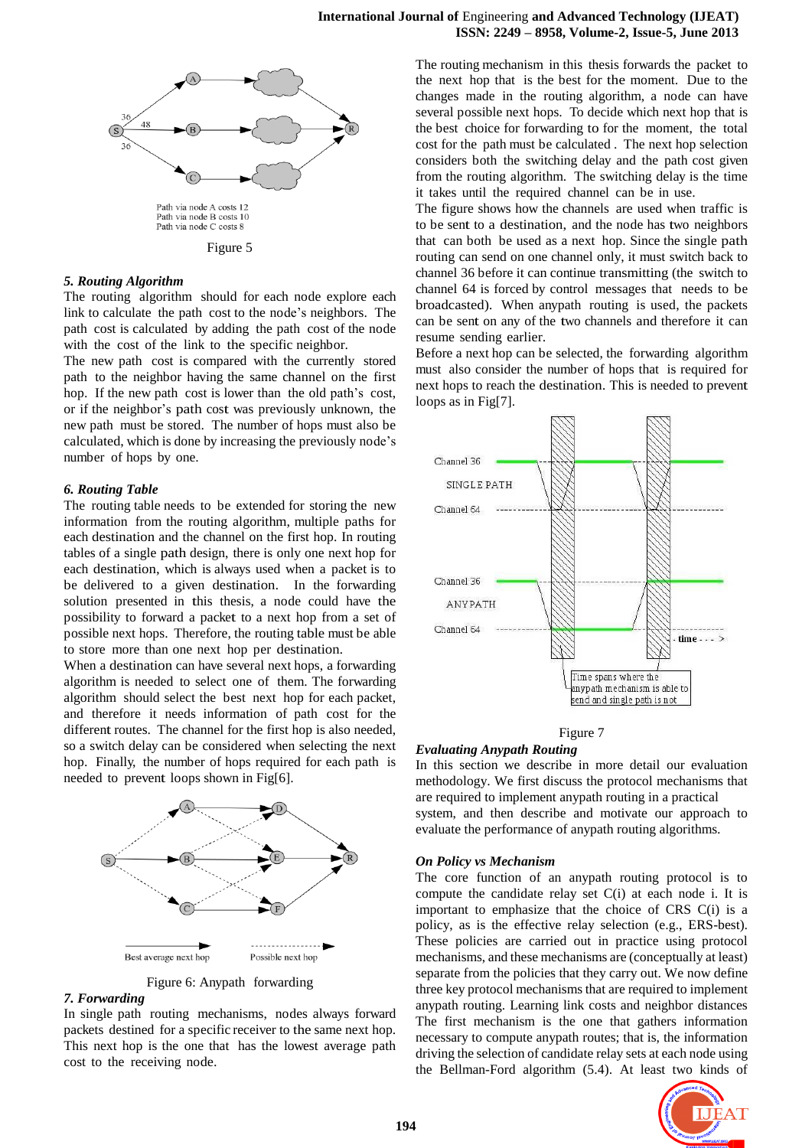

#### *5. Routing Algorithm*

The routing algorithm should for each node explore each link to calculate the path cost to the node's neighbors. The path cost is calculated by adding the path cost of the node with the cost of the link to the specific neighbor.

The new path cost is compared with the currently stored path to the neighbor having the same channel on the first hop. If the new path cost is lower than the old path's cost, or if the neighbor's path cost was previously unknown, the new path must be stored. The number of hops must also be calculated, which is done by increasing the previously node's number of hops by one.

### *6. Routing Table*

The routing table needs to be extended for storing the new information from the routing algorithm, multiple paths for each destination and the channel on the first hop. In routing tables of a single path design, there is only one next hop for each destination, which is always used when a packet is to be delivered to a given destination. In the forwarding solution presented in this thesis, a node could have the possibility to forward a packet to a next hop from a set of possible next hops. Therefore, the routing table must be able to store more than one next hop per destination.

When a destination can have several next hops, a forwarding algorithm is needed to select one of them. The forwarding algorithm should select the best next hop for each packet, and therefore it needs information of path cost for the different routes. The channel for the first hop is also needed, so a switch delay can be considered when selecting the next hop. Finally, the number of hops required for each path is needed to prevent loops shown in Fig[6].



Figure 6: Anypath forwarding

## *7. Forwarding*

In single path routing mechanisms, nodes always forward packets destined for a specific receiver to the same next hop. This next hop is the one that has the lowest average path cost to the receiving node.

The routing mechanism in this thesis forwards the packet to the next hop that is the best for the moment. Due to the changes made in the routing algorithm, a node can have several possible next hops. To decide which next hop that is the best choice for forwarding to for the moment, the total cost for the path must be calculated . The next hop selection considers both the switching delay and the path cost given from the routing algorithm. The switching delay is the time it takes until the required channel can be in use.

The figure shows how the channels are used when traffic is to be sent to a destination, and the node has two neighbors that can both be used as a next hop. Since the single path routing can send on one channel only, it must switch back to channel 36 before it can continue transmitting (the switch to channel 64 is forced by control messages that needs to be broadcasted). When anypath routing is used, the packets can be sent on any of the two channels and therefore it can resume sending earlier.

Before a next hop can be selected, the forwarding algorithm must also consider the number of hops that is required for next hops to reach the destination. This is needed to prevent loops as in Fig[7].



#### Figure 7 *Evaluating Anypath Routing*

In this section we describe in more detail our evaluation methodology. We first discuss the protocol mechanisms that are required to implement anypath routing in a practical system, and then describe and motivate our approach to evaluate the performance of anypath routing algorithms.

#### *On Policy vs Mechanism*

The core function of an anypath routing protocol is to compute the candidate relay set C(i) at each node i. It is important to emphasize that the choice of CRS C(i) is a policy, as is the effective relay selection (e.g., ERS-best). These policies are carried out in practice using protocol mechanisms, and these mechanisms are (conceptually at least) separate from the policies that they carry out. We now define three key protocol mechanisms that are required to implement anypath routing. Learning link costs and neighbor distances The first mechanism is the one that gathers information necessary to compute anypath routes; that is, the information driving the selection of candidate relay sets at each node using the Bellman-Ford algorithm (5.4). At least two kinds of

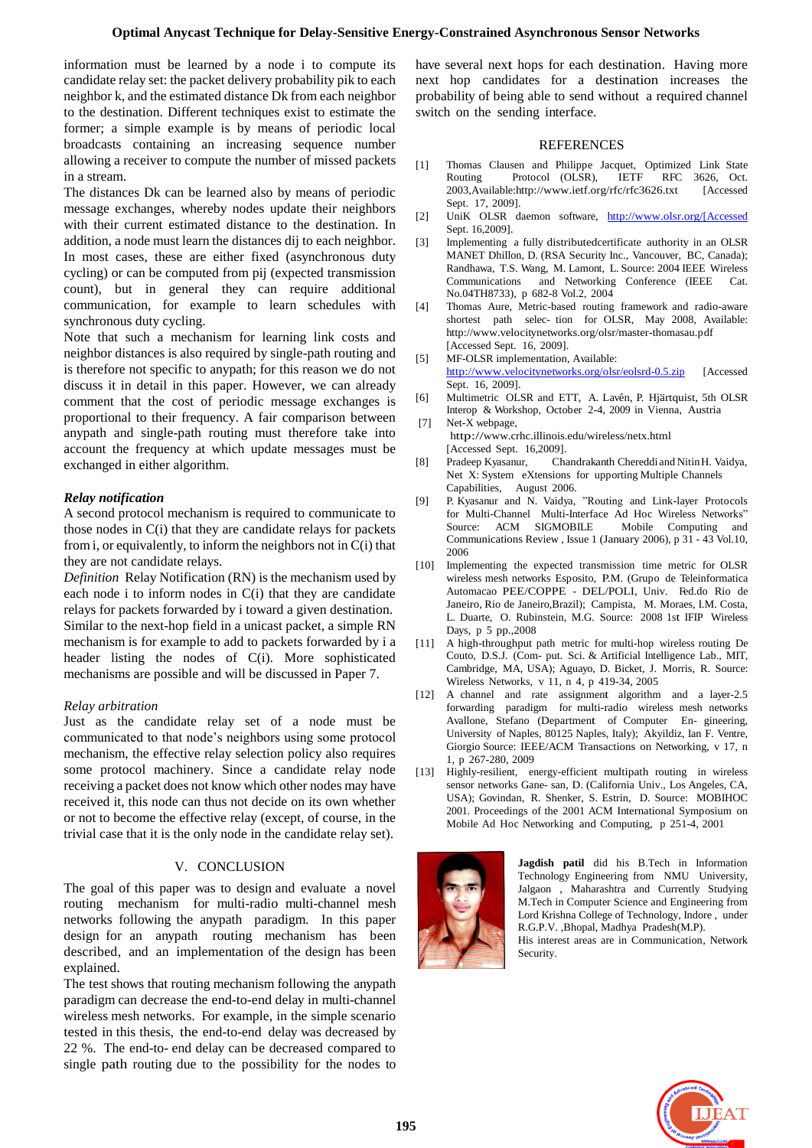## **Optimal Anycast Technique for Delay-Sensitive Energy-Constrained Asynchronous Sensor Networks**

information must be learned by a node i to compute its candidate relay set: the packet delivery probability pik to each neighbor k, and the estimated distance Dk from each neighbor to the destination. Different techniques exist to estimate the former; a simple example is by means of periodic local broadcasts containing an increasing sequence number allowing a receiver to compute the number of missed packets in a stream.

The distances Dk can be learned also by means of periodic message exchanges, whereby nodes update their neighbors with their current estimated distance to the destination. In addition, a node must learn the distances dij to each neighbor. In most cases, these are either fixed (asynchronous duty cycling) or can be computed from pij (expected transmission count), but in general they can require additional communication, for example to learn schedules with synchronous duty cycling.

Note that such a mechanism for learning link costs and neighbor distances is also required by single-path routing and is therefore not specific to anypath; for this reason we do not discuss it in detail in this paper. However, we can already comment that the cost of periodic message exchanges is proportional to their frequency. A fair comparison between anypath and single-path routing must therefore take into account the frequency at which update messages must be exchanged in either algorithm.

## *Relay notification*

A second protocol mechanism is required to communicate to those nodes in C(i) that they are candidate relays for packets from i, or equivalently, to inform the neighbors not in C(i) that they are not candidate relays.

*Definition* Relay Notification (RN) is the mechanism used by each node i to inform nodes in C(i) that they are candidate relays for packets forwarded by i toward a given destination. Similar to the next-hop field in a unicast packet, a simple RN mechanism is for example to add to packets forwarded by i a header listing the nodes of C(i). More sophisticated mechanisms are possible and will be discussed in Paper 7.

## *Relay arbitration*

Just as the candidate relay set of a node must be communicated to that node's neighbors using some protocol mechanism, the effective relay selection policy also requires some protocol machinery. Since a candidate relay node receiving a packet does not know which other nodes may have received it, this node can thus not decide on its own whether or not to become the effective relay (except, of course, in the trivial case that it is the only node in the candidate relay set).

## V. CONCLUSION

The goal of this paper was to design and evaluate a novel routing mechanism for multi-radio multi-channel mesh networks following the anypath paradigm. In this paper design for an anypath routing mechanism has been described, and an implementation of the design has been explained.

The test shows that routing mechanism following the anypath paradigm can decrease the end-to-end delay in multi-channel wireless mesh networks. For example, in the simple scenario tested in this thesis, the end-to-end delay was decreased by 22 %. The end-to- end delay can be decreased compared to single path routing due to the possibility for the nodes to have several next hops for each destination. Having more next hop candidates for a destination increases the probability of being able to send without a required channel switch on the sending interface.

#### REFERENCES

- [1] Thomas Clausen and Philippe Jacquet, Optimized Link State Routing Protocol (OLSR), IETF RFC 3626, Oct. 2003,Availabl[e:http://www.ietf.org/rfc/rfc3626.txt](http://www.ietf.org/rfc/rfc3626.txt) [Accessed Sept. 17, [2009\].](http://www.ietf.org/rfc/rfc3626.txt)
- [2] UniK OLSR daemon software, [http://www.olsr.org/\[Accessed](http://www.olsr.org/%5bAccessed)  Sept. 16,2009].
- [3] Implementing a fully distributedcertificate authority in an OLSR MANET Dhillon, D. (RSA Security Inc., Vancouver, BC, Canada); Randhawa, T.S. Wang, M. Lamont, L. Source: 2004 IEEE Wireless Communications and Networking Conference (IEEE Cat. No.04TH8733), p 682-8 Vol.2, 2004
- [4] Thomas Aure, Metric-based routing framework and radio-aware shortest path selec- tion for OLSR, May 2008, Available: [http://www.velocitynetworks.org/olsr/master-th](http://www.velocitynetworks.org/olsr/master-)omasau.pdf [Accessed Sept. 16, 2009].
- [5] MF-OLSR implementation, Available: <http://www.velocitynetworks.org/olsr/eolsrd-0.5.zip> [Accessed] Sept. 16, 2009].
- [6] Multimetric OLSR and ETT, A. Lavén, P. Hiärtquist, 5th OLSR Interop & Workshop, October 2-4, 2009 in Vienna, Austria
- [7] Net-X webpage, <http://www.crhc.illinois.edu/wireless/netx.html> [Accessed Sept. 16,2009].
- [8] Pradeep Kyasanur, Chandrakanth Chereddi and NitinH. Vaidya, Net X: System eXtensions for upporting Multiple Channels Capabilities, August 2006.
- [9] P. Kyasanur and N. Vaidya, "Routing and Link-layer Protocols for Multi-Channel Multi-Interface Ad Hoc Wireless Networks" Source: ACM SIGMOBILE Mobile Computing and Communications Review , Issue 1 (January 2006), p 31 - 43 Vol.10, 2006
- [10] Implementing the expected transmission time metric for OLSR wireless mesh networks Esposito, P.M. (Grupo de Teleinformatica Automacao PEE/COPPE - DEL/POLI, Univ. Fed.do Rio de Janeiro, Rio de Janeiro,Brazil); Campista, M. Moraes, I.M. Costa, L. Duarte, O. Rubinstein, M.G. Source: 2008 1st IFIP Wireless Days, p 5 pp.,2008
- [11] A high-throughput path metric for multi-hop wireless routing De Couto, D.S.J. (Com- put. Sci. & Artificial Intelligence Lab., MIT, Cambridge, MA, USA); Aguayo, D. Bicket, J. Morris, R. Source: Wireless Networks, v 11, n 4, p 419-34, 2005
- [12] A channel and rate assignment algorithm and a layer-2.5 forwarding paradigm for multi-radio wireless mesh networks Avallone, Stefano (Department of Computer En- gineering, University of Naples, 80125 Naples, Italy); Akyildiz, Ian F. Ventre, Giorgio Source: IEEE/ACM Transactions on Networking, v 17, n 1, p 267-280, 2009
- [13] Highly-resilient, energy-efficient multipath routing in wireless sensor networks Gane- san, D. (California Univ., Los Angeles, CA, USA); Govindan, R. Shenker, S. Estrin, D. Source: MOBIHOC 2001. Proceedings of the 2001 ACM International Symposium on Mobile Ad Hoc Networking and Computing, p 251-4, 2001



**Jagdish patil** did his B.Tech in Information Technology Engineering from NMU University, Jalgaon , Maharashtra and Currently Studying M.Tech in Computer Science and Engineering from Lord Krishna College of Technology, Indore , under R.G.P.V. ,Bhopal, Madhya Pradesh(M.P).

His interest areas are in Communication, Network Security.